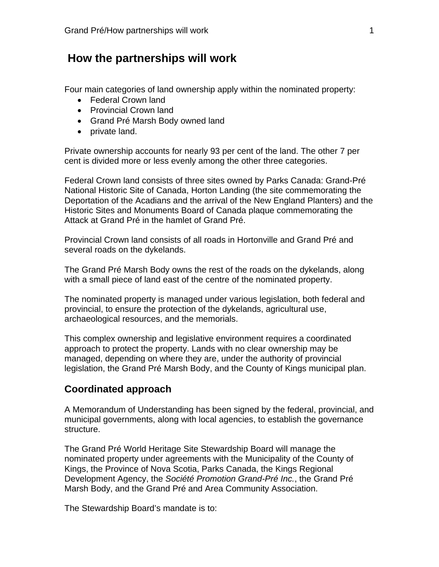## **How the partnerships will work**

Four main categories of land ownership apply within the nominated property:

- Federal Crown land
- Provincial Crown land
- Grand Pré Marsh Body owned land
- private land.

Private ownership accounts for nearly 93 per cent of the land. The other 7 per cent is divided more or less evenly among the other three categories.

Federal Crown land consists of three sites owned by Parks Canada: Grand-Pré National Historic Site of Canada, Horton Landing (the site commemorating the Deportation of the Acadians and the arrival of the New England Planters) and the Historic Sites and Monuments Board of Canada plaque commemorating the Attack at Grand Pré in the hamlet of Grand Pré.

Provincial Crown land consists of all roads in Hortonville and Grand Pré and several roads on the dykelands.

The Grand Pré Marsh Body owns the rest of the roads on the dykelands, along with a small piece of land east of the centre of the nominated property.

The nominated property is managed under various legislation, both federal and provincial, to ensure the protection of the dykelands, agricultural use, archaeological resources, and the memorials.

This complex ownership and legislative environment requires a coordinated approach to protect the property. Lands with no clear ownership may be managed, depending on where they are, under the authority of provincial legislation, the Grand Pré Marsh Body, and the County of Kings municipal plan.

## **Coordinated approach**

A Memorandum of Understanding has been signed by the federal, provincial, and municipal governments, along with local agencies, to establish the governance structure.

The Grand Pré World Heritage Site Stewardship Board will manage the nominated property under agreements with the Municipality of the County of Kings, the Province of Nova Scotia, Parks Canada, the Kings Regional Development Agency, the *Société Promotion Grand-Pré Inc.*, the Grand Pré Marsh Body, and the Grand Pré and Area Community Association.

The Stewardship Board's mandate is to: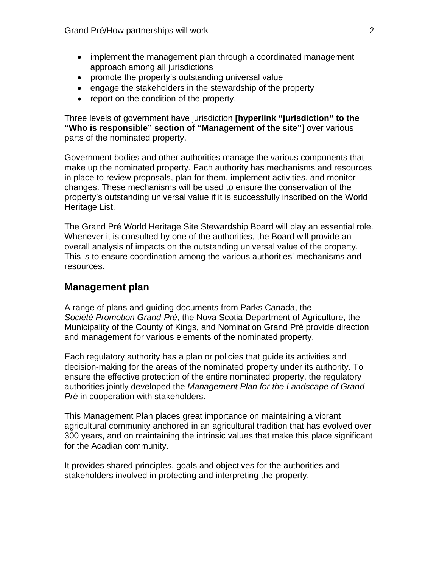- implement the management plan through a coordinated management approach among all jurisdictions
- promote the property's outstanding universal value
- engage the stakeholders in the stewardship of the property
- report on the condition of the property.

Three levels of government have jurisdiction **[hyperlink "jurisdiction" to the "Who is responsible" section of "Management of the site"]** over various parts of the nominated property.

Government bodies and other authorities manage the various components that make up the nominated property. Each authority has mechanisms and resources in place to review proposals, plan for them, implement activities, and monitor changes. These mechanisms will be used to ensure the conservation of the property's outstanding universal value if it is successfully inscribed on the World Heritage List.

The Grand Pré World Heritage Site Stewardship Board will play an essential role. Whenever it is consulted by one of the authorities, the Board will provide an overall analysis of impacts on the outstanding universal value of the property. This is to ensure coordination among the various authorities' mechanisms and resources.

## **Management plan**

A range of plans and guiding documents from Parks Canada, the *Société Promotion Grand-Pré*, the Nova Scotia Department of Agriculture, the Municipality of the County of Kings, and Nomination Grand Pré provide direction and management for various elements of the nominated property.

Each regulatory authority has a plan or policies that guide its activities and decision-making for the areas of the nominated property under its authority. To ensure the effective protection of the entire nominated property, the regulatory authorities jointly developed the *Management Plan for the Landscape of Grand Pré* in cooperation with stakeholders.

This Management Plan places great importance on maintaining a vibrant agricultural community anchored in an agricultural tradition that has evolved over 300 years, and on maintaining the intrinsic values that make this place significant for the Acadian community.

It provides shared principles, goals and objectives for the authorities and stakeholders involved in protecting and interpreting the property.